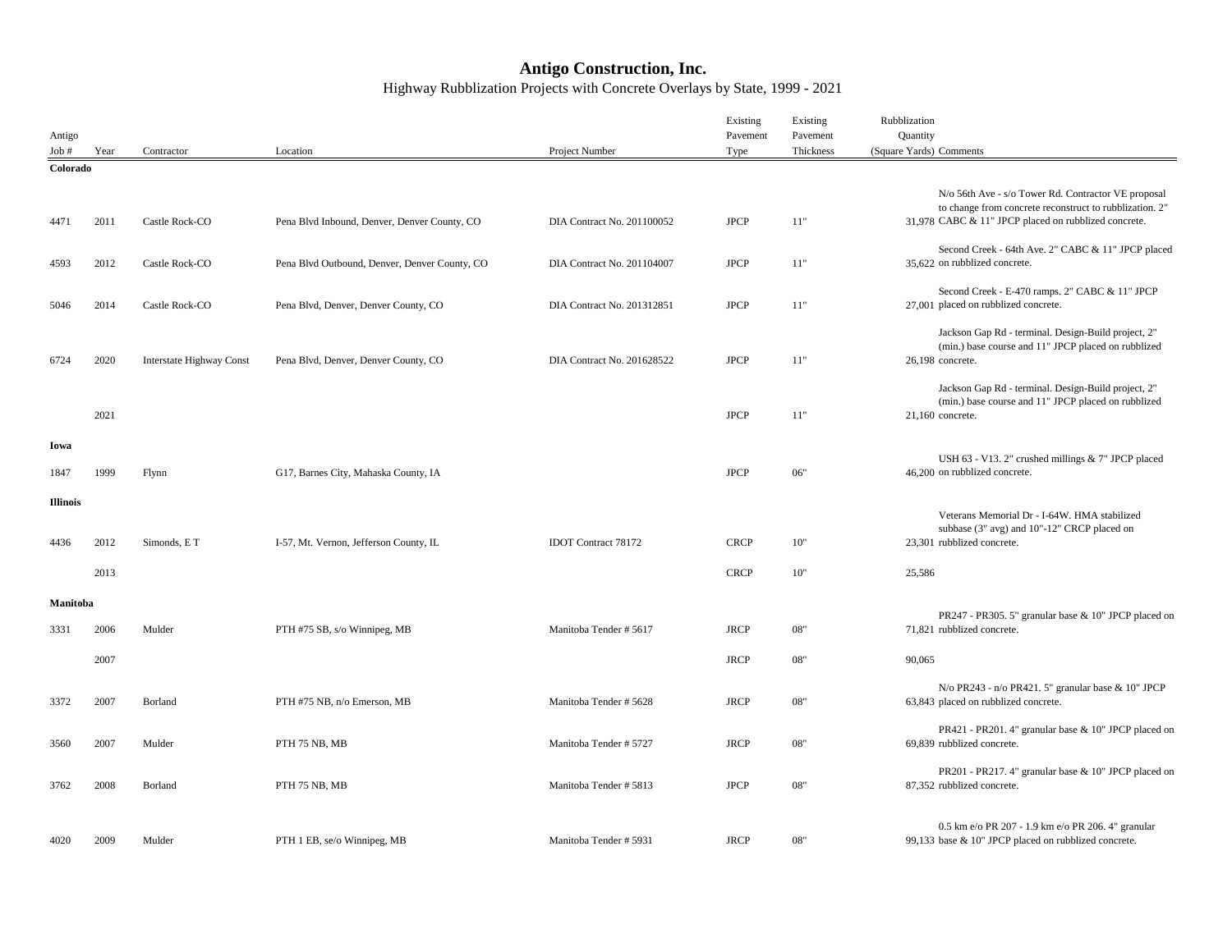## **Antigo Construction, Inc.** Highway Rubblization Projects with Concrete Overlays by State, 1999 - 2021

|                 |      |                          |                                               |                            | Existing    | Existing              | Rubblization                                                                                                   |
|-----------------|------|--------------------------|-----------------------------------------------|----------------------------|-------------|-----------------------|----------------------------------------------------------------------------------------------------------------|
| Antigo<br>Job#  | Year | Contractor               | Location                                      | Project Number             | Pavement    | Pavement<br>Thickness | Quantity<br>(Square Yards) Comments                                                                            |
| Colorado        |      |                          |                                               |                            | Type        |                       |                                                                                                                |
|                 |      |                          |                                               |                            |             |                       |                                                                                                                |
|                 |      |                          |                                               |                            |             |                       | N/o 56th Ave - s/o Tower Rd. Contractor VE proposal<br>to change from concrete reconstruct to rubblization. 2" |
| 4471            | 2011 | Castle Rock-CO           | Pena Blvd Inbound, Denver, Denver County, CO  | DIA Contract No. 201100052 | <b>JPCP</b> | 11"                   | 31,978 CABC & 11" JPCP placed on rubblized concrete.                                                           |
|                 |      |                          |                                               |                            |             |                       |                                                                                                                |
|                 |      |                          |                                               |                            |             |                       | Second Creek - 64th Ave. 2" CABC & 11" JPCP placed                                                             |
| 4593            | 2012 | Castle Rock-CO           | Pena Blvd Outbound, Denver, Denver County, CO | DIA Contract No. 201104007 | <b>JPCP</b> | 11"                   | 35,622 on rubblized concrete.                                                                                  |
|                 |      |                          |                                               |                            |             |                       | Second Creek - E-470 ramps. 2" CABC & 11" JPCP                                                                 |
| 5046            | 2014 | Castle Rock-CO           | Pena Blvd, Denver, Denver County, CO          | DIA Contract No. 201312851 | <b>JPCP</b> | 11"                   | 27,001 placed on rubblized concrete.                                                                           |
|                 |      |                          |                                               |                            |             |                       |                                                                                                                |
|                 |      |                          |                                               |                            |             |                       | Jackson Gap Rd - terminal. Design-Build project, 2"<br>(min.) base course and 11" JPCP placed on rubblized     |
| 6724            | 2020 | Interstate Highway Const | Pena Blvd, Denver, Denver County, CO          | DIA Contract No. 201628522 | <b>JPCP</b> | 11"                   | 26,198 concrete.                                                                                               |
|                 |      |                          |                                               |                            |             |                       |                                                                                                                |
|                 |      |                          |                                               |                            |             |                       | Jackson Gap Rd - terminal. Design-Build project, 2"                                                            |
|                 | 2021 |                          |                                               |                            | <b>JPCP</b> | 11"                   | (min.) base course and 11" JPCP placed on rubblized<br>$21,160$ concrete.                                      |
|                 |      |                          |                                               |                            |             |                       |                                                                                                                |
| Iowa            |      |                          |                                               |                            |             |                       |                                                                                                                |
|                 |      |                          |                                               |                            |             |                       | USH 63 - V13. 2" crushed millings & 7" JPCP placed                                                             |
| 1847            | 1999 | Flynn                    | G17, Barnes City, Mahaska County, IA          |                            | <b>JPCP</b> | 06"                   | 46.200 on rubblized concrete.                                                                                  |
| <b>Illinois</b> |      |                          |                                               |                            |             |                       |                                                                                                                |
|                 |      |                          |                                               |                            |             |                       | Veterans Memorial Dr - I-64W. HMA stabilized                                                                   |
|                 |      |                          |                                               |                            |             |                       | subbase (3" avg) and 10"-12" CRCP placed on                                                                    |
| 4436            | 2012 | Simonds, ET              | I-57, Mt. Vernon, Jefferson County, IL        | <b>IDOT</b> Contract 78172 | <b>CRCP</b> | 10"                   | 23,301 rubblized concrete.                                                                                     |
|                 | 2013 |                          |                                               |                            | <b>CRCP</b> | 10"                   | 25,586                                                                                                         |
|                 |      |                          |                                               |                            |             |                       |                                                                                                                |
| Manitoba        |      |                          |                                               |                            |             |                       |                                                                                                                |
|                 |      |                          |                                               |                            | <b>JRCP</b> | 08"                   | PR247 - PR305. 5" granular base & 10" JPCP placed on<br>71,821 rubblized concrete.                             |
| 3331            | 2006 | Mulder                   | PTH #75 SB, s/o Winnipeg, MB                  | Manitoba Tender #5617      |             |                       |                                                                                                                |
|                 | 2007 |                          |                                               |                            | <b>JRCP</b> | 08"                   | 90,065                                                                                                         |
|                 |      |                          |                                               |                            |             |                       |                                                                                                                |
|                 |      |                          |                                               |                            |             |                       | N/o PR243 - n/o PR421.5" granular base & 10" JPCP                                                              |
| 3372            | 2007 | Borland                  | PTH #75 NB, n/o Emerson, MB                   | Manitoba Tender # 5628     | <b>JRCP</b> | 08"                   | 63,843 placed on rubblized concrete.                                                                           |
|                 |      |                          |                                               |                            |             |                       | PR421 - PR201. 4" granular base & 10" JPCP placed on                                                           |
| 3560            | 2007 | Mulder                   | PTH 75 NB, MB                                 | Manitoba Tender # 5727     | <b>JRCP</b> | 08"                   | 69,839 rubblized concrete.                                                                                     |
|                 |      |                          |                                               |                            |             |                       |                                                                                                                |
| 3762            | 2008 | Borland                  | PTH 75 NB, MB                                 | Manitoba Tender # 5813     | <b>JPCP</b> | 08"                   | PR201 - PR217. 4" granular base & 10" JPCP placed on<br>87,352 rubblized concrete.                             |
|                 |      |                          |                                               |                            |             |                       |                                                                                                                |
|                 |      |                          |                                               |                            |             |                       |                                                                                                                |
| 4020            | 2009 | Mulder                   |                                               | Manitoba Tender # 5931     | <b>JRCP</b> | 08"                   | 0.5 km e/o PR 207 - 1.9 km e/o PR 206. 4" granular<br>99,133 base & 10" JPCP placed on rubblized concrete.     |
|                 |      |                          | PTH 1 EB, se/o Winnipeg, MB                   |                            |             |                       |                                                                                                                |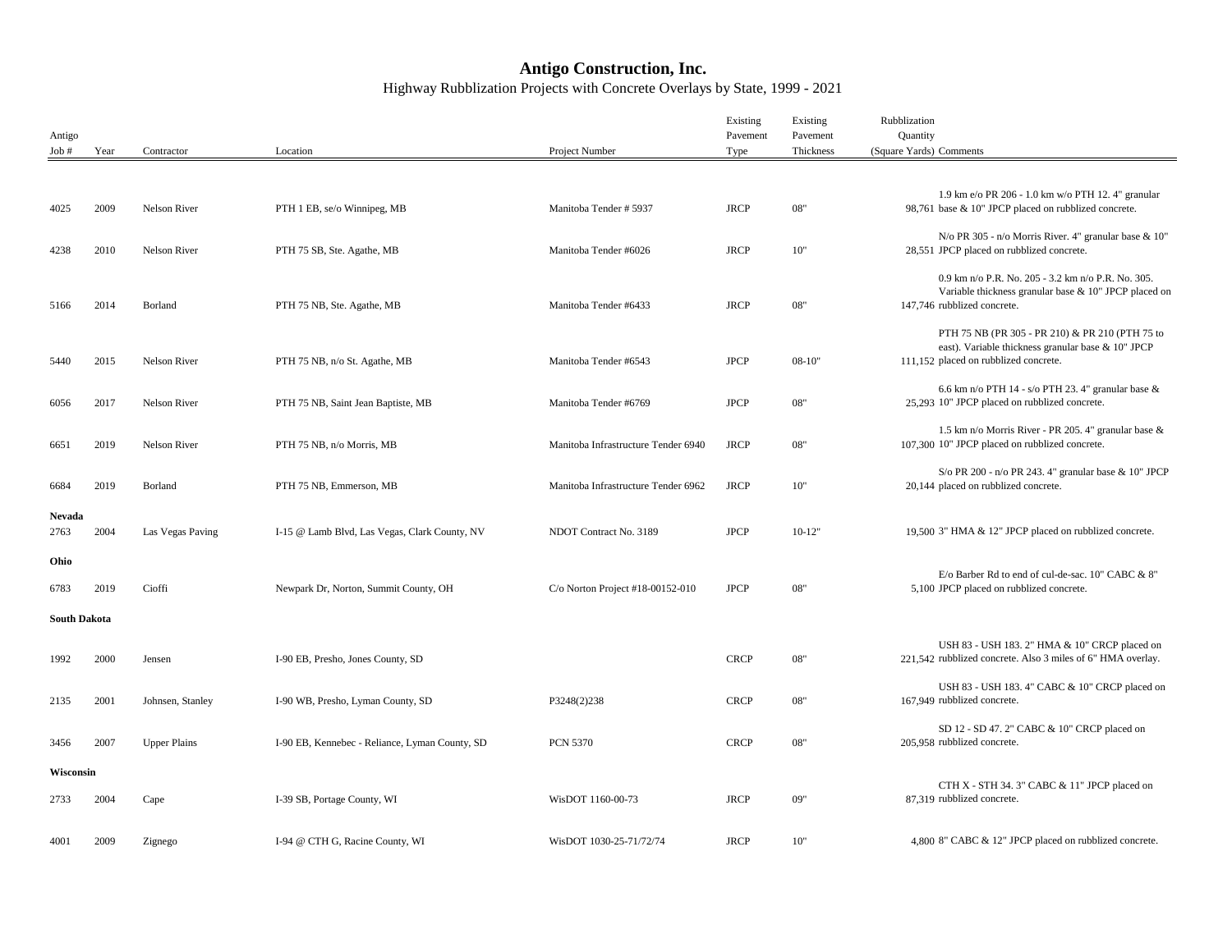## **Antigo Construction, Inc.** Highway Rubblization Projects with Concrete Overlays by State, 1999 - 2021

| Antigo              |      |                     |                                                |                                     | Existing<br>Pavement | Existing<br>Pavement | Rubblization<br>Quantity                                                                                                                       |
|---------------------|------|---------------------|------------------------------------------------|-------------------------------------|----------------------|----------------------|------------------------------------------------------------------------------------------------------------------------------------------------|
| Job#                | Year | Contractor          | Location                                       | Project Number                      | Type                 | Thickness            | (Square Yards) Comments                                                                                                                        |
|                     |      |                     |                                                |                                     |                      |                      | 1.9 km e/o PR 206 - 1.0 km w/o PTH 12.4" granular                                                                                              |
| 4025                | 2009 | Nelson River        | PTH 1 EB, se/o Winnipeg, MB                    | Manitoba Tender # 5937              | <b>JRCP</b>          | 08"                  | 98,761 base & 10" JPCP placed on rubblized concrete.<br>N/o PR 305 - n/o Morris River. 4" granular base & 10"                                  |
| 4238                | 2010 | Nelson River        | PTH 75 SB, Ste. Agathe, MB                     | Manitoba Tender #6026               | <b>JRCP</b>          | 10"                  | 28,551 JPCP placed on rubblized concrete.                                                                                                      |
| 5166                | 2014 | Borland             | PTH 75 NB, Ste. Agathe, MB                     | Manitoba Tender #6433               | <b>JRCP</b>          | 08"                  | 0.9 km n/o P.R. No. 205 - 3.2 km n/o P.R. No. 305.<br>Variable thickness granular base & 10" JPCP placed on<br>147,746 rubblized concrete.     |
| 5440                | 2015 | Nelson River        | PTH 75 NB, n/o St. Agathe, MB                  | Manitoba Tender #6543               | <b>JPCP</b>          | $08-10"$             | PTH 75 NB (PR 305 - PR 210) & PR 210 (PTH 75 to<br>east). Variable thickness granular base & 10" JPCP<br>111,152 placed on rubblized concrete. |
| 6056                | 2017 | Nelson River        | PTH 75 NB, Saint Jean Baptiste, MB             | Manitoba Tender #6769               | <b>JPCP</b>          | 08"                  | 6.6 km n/o PTH 14 - s/o PTH 23.4" granular base $\&$<br>25,293 10" JPCP placed on rubblized concrete.                                          |
| 6651                | 2019 | Nelson River        | PTH 75 NB, n/o Morris, MB                      | Manitoba Infrastructure Tender 6940 | <b>JRCP</b>          | 08"                  | 1.5 km n/o Morris River - PR 205. 4" granular base &<br>107,300 10" JPCP placed on rubblized concrete.                                         |
| 6684                | 2019 | Borland             | PTH 75 NB, Emmerson, MB                        | Manitoba Infrastructure Tender 6962 | <b>JRCP</b>          | 10"                  | S/o PR 200 - n/o PR 243. 4" granular base & 10" JPCP<br>20,144 placed on rubblized concrete.                                                   |
| Nevada<br>2763      | 2004 | Las Vegas Paving    | I-15 @ Lamb Blvd, Las Vegas, Clark County, NV  | NDOT Contract No. 3189              | <b>JPCP</b>          | $10-12"$             | 19,500 3" HMA & 12" JPCP placed on rubblized concrete.                                                                                         |
| Ohio<br>6783        | 2019 | Cioffi              | Newpark Dr, Norton, Summit County, OH          | C/o Norton Project #18-00152-010    | <b>JPCP</b>          | 08"                  | E/o Barber Rd to end of cul-de-sac. 10" CABC & 8"<br>5,100 JPCP placed on rubblized concrete.                                                  |
| <b>South Dakota</b> |      |                     |                                                |                                     |                      |                      |                                                                                                                                                |
| 1992                | 2000 | Jensen              | I-90 EB, Presho, Jones County, SD              |                                     | <b>CRCP</b>          | 08"                  | USH 83 - USH 183. 2" HMA & 10" CRCP placed on<br>221,542 rubblized concrete. Also 3 miles of 6" HMA overlay.                                   |
| 2135                | 2001 | Johnsen, Stanley    | I-90 WB, Presho, Lyman County, SD              | P3248(2)238                         | <b>CRCP</b>          | 08"                  | USH 83 - USH 183. 4" CABC & 10" CRCP placed on<br>167,949 rubblized concrete.                                                                  |
| 3456                | 2007 | <b>Upper Plains</b> | I-90 EB, Kennebec - Reliance, Lyman County, SD | <b>PCN 5370</b>                     | <b>CRCP</b>          | 08"                  | SD 12 - SD 47. 2" CABC & 10" CRCP placed on<br>205,958 rubblized concrete.                                                                     |
| Wisconsin           |      |                     |                                                |                                     |                      |                      |                                                                                                                                                |
| 2733                | 2004 | Cape                | I-39 SB, Portage County, WI                    | WisDOT 1160-00-73                   | <b>JRCP</b>          | 09"                  | CTH X - STH 34.3" CABC & 11" JPCP placed on<br>87.319 rubblized concrete.                                                                      |
| 4001                | 2009 | Zignego             | I-94 @ CTH G, Racine County, WI                | WisDOT 1030-25-71/72/74             | <b>JRCP</b>          | 10"                  | 4,800 8" CABC & 12" JPCP placed on rubblized concrete.                                                                                         |